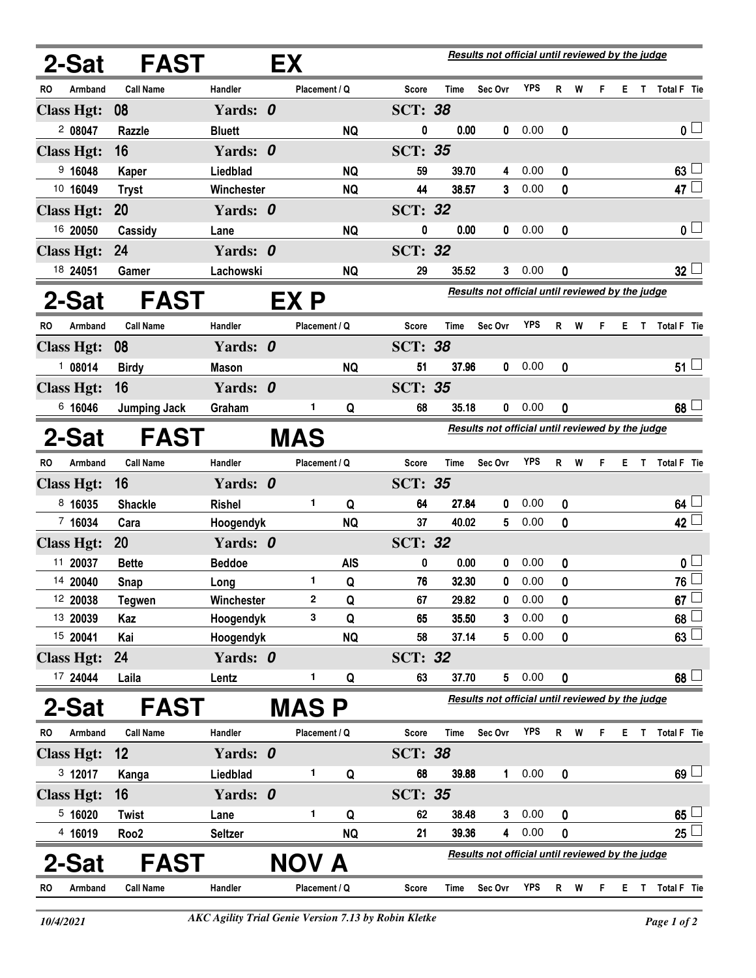|           | 2-Sat             | <b>FAST</b>         |                | EX          |               |                |                                                  | Results not official until reviewed by the judge |            |    |   |   |    |              |                    |  |
|-----------|-------------------|---------------------|----------------|-------------|---------------|----------------|--------------------------------------------------|--------------------------------------------------|------------|----|---|---|----|--------------|--------------------|--|
| RO        | Armband           | <b>Call Name</b>    | <b>Handler</b> |             | Placement / Q | Score          | Time                                             | Sec Ovr                                          | YPS        | R  | W | F | E. | T            | Total F Tie        |  |
|           | <b>Class Hgt:</b> | 08                  | Yards: 0       |             |               | <b>SCT: 38</b> |                                                  |                                                  |            |    |   |   |    |              |                    |  |
|           | 2 08047           | Razzle              | <b>Bluett</b>  |             | <b>NQ</b>     | 0              | 0.00                                             | 0                                                | 0.00       | 0  |   |   |    |              | 0 <sub>0</sub>     |  |
|           | <b>Class Hgt:</b> | 16                  | Yards: 0       |             |               | <b>SCT: 35</b> |                                                  |                                                  |            |    |   |   |    |              |                    |  |
|           | 9 16048           | Kaper               | Liedblad       |             | <b>NQ</b>     | 59             | 39.70                                            | 4                                                | 0.00       | 0  |   |   |    |              | 63                 |  |
|           | 10 16049          | <b>Tryst</b>        | Winchester     |             | <b>NQ</b>     | 44             | 38.57                                            | 3                                                | 0.00       | 0  |   |   |    |              | 47 $\Box$          |  |
|           | <b>Class Hgt:</b> | 20                  | Yards: 0       |             |               | <b>SCT: 32</b> |                                                  |                                                  |            |    |   |   |    |              |                    |  |
|           | 16 20050          | Cassidy             | Lane           |             | <b>NQ</b>     | 0              | 0.00                                             | 0                                                | 0.00       | 0  |   |   |    |              | 0 <sub>1</sub>     |  |
|           | <b>Class Hgt:</b> | 24                  | Yards: 0       |             |               | <b>SCT: 32</b> |                                                  |                                                  |            |    |   |   |    |              |                    |  |
|           | 18 24051          | Gamer               | Lachowski      |             | <b>NQ</b>     | 29             | 35.52                                            | 3                                                | 0.00       | 0  |   |   |    |              | $32\perp$          |  |
|           | 2-Sat             | <b>FAST</b>         |                | EX P        |               |                | Results not official until reviewed by the judge |                                                  |            |    |   |   |    |              |                    |  |
| <b>RO</b> | Armband           | <b>Call Name</b>    | Handler        |             | Placement / Q | <b>Score</b>   | Time                                             | Sec Ovr                                          | <b>YPS</b> | R  | W | F | E. | T.           | Total F Tie        |  |
|           | <b>Class Hgt:</b> | 08                  | Yards: 0       |             |               | <b>SCT: 38</b> |                                                  |                                                  |            |    |   |   |    |              |                    |  |
|           | 108014            | <b>Birdy</b>        | Mason          |             | <b>NQ</b>     | 51             | 37.96                                            | 0                                                | 0.00       | 0  |   |   |    |              | $51 -$             |  |
|           | <b>Class Hgt:</b> | 16                  | Yards: 0       |             |               | <b>SCT: 35</b> |                                                  |                                                  |            |    |   |   |    |              |                    |  |
|           | 6 16046           | <b>Jumping Jack</b> | Graham         | 1.          | Q             | 68             | 35.18                                            | 0                                                | 0.00       | 0  |   |   |    |              | 68 <sup>1</sup>    |  |
|           | 2-Sat             | <b>FAST</b>         |                | <b>MAS</b>  |               |                |                                                  | Results not official until reviewed by the judge |            |    |   |   |    |              |                    |  |
| <b>RO</b> | Armband           | <b>Call Name</b>    | Handler        |             | Placement / Q | <b>Score</b>   | <b>Time</b>                                      | Sec Ovr                                          | <b>YPS</b> | R  | W | F | Е  | T            | <b>Total F</b> Tie |  |
|           | <b>Class Hgt:</b> | 16                  | Yards: 0       |             |               | <b>SCT: 35</b> |                                                  |                                                  |            |    |   |   |    |              |                    |  |
|           | 8 16035           | <b>Shackle</b>      | <b>Rishel</b>  | 1           | Q             | 64             | 27.84                                            | 0                                                | 0.00       | 0  |   |   |    |              | 64 <sup>1</sup>    |  |
|           | 7 16034           | Cara                | Hoogendyk      |             | <b>NQ</b>     | 37             | 40.02                                            | 5                                                | 0.00       | 0  |   |   |    |              | 42 <sup>1</sup>    |  |
|           | <b>Class Hgt:</b> | <b>20</b>           | Yards: 0       |             |               | <b>SCT: 32</b> |                                                  |                                                  |            |    |   |   |    |              |                    |  |
|           | 11 20037          | <b>Bette</b>        | <b>Beddoe</b>  |             | <b>AIS</b>    | 0              | 0.00                                             | 0                                                | 0.00       | 0  |   |   |    |              | 0 L                |  |
|           | 14 20040          | <b>Snap</b>         | Long           | 1           | Q             | 76             | 32.30                                            | 0                                                | 0.00       | 0  |   |   |    |              | 76 ↓               |  |
|           | 12 20038          | <b>Tegwen</b>       | Winchester     | 2           | Q             | 67             | 29.82                                            | 0                                                | 0.00       | 0  |   |   |    |              | 67                 |  |
|           | 13 20039          | Kaz                 | Hoogendyk      | 3           | Q             | 65             | 35.50                                            | 3                                                | 0.00       | 0  |   |   |    |              | 68 <sup>1</sup>    |  |
|           | 15 20041          | Kai                 | Hoogendyk      |             | <b>NQ</b>     | 58             | 37.14                                            | 5                                                | 0.00       | 0  |   |   |    |              | $63 -$             |  |
|           | <b>Class Hgt:</b> | 24                  | Yards: 0       |             |               | <b>SCT: 32</b> |                                                  |                                                  |            |    |   |   |    |              |                    |  |
|           | 17 24044          | Laila               | Lentz          | 1           | Q             | 63             | 37.70                                            | 5                                                | 0.00       | 0  |   |   |    |              | $68\perp$          |  |
|           | 2-Sat             | <b>FAST</b>         |                | <b>MASP</b> |               |                |                                                  | Results not official until reviewed by the judge |            |    |   |   |    |              |                    |  |
| RO        | Armband           | <b>Call Name</b>    | Handler        |             | Placement / Q | <b>Score</b>   | Time                                             | Sec Ovr                                          | <b>YPS</b> | R. | W | F | E. | L            | Total F Tie        |  |
|           | <b>Class Hgt:</b> | 12                  | Yards: 0       |             |               | <b>SCT: 38</b> |                                                  |                                                  |            |    |   |   |    |              |                    |  |
|           | 3 12017           | Kanga               | Liedblad       | 1           | Q             | 68             | 39.88                                            | 1                                                | 0.00       | 0  |   |   |    |              | $69$ $-$           |  |
|           | <b>Class Hgt:</b> | 16                  | Yards: 0       |             |               | <b>SCT: 35</b> |                                                  |                                                  |            |    |   |   |    |              |                    |  |
|           | 5 16020           | <b>Twist</b>        | Lane           | 1           | Q             | 62             | 38.48                                            | 3                                                | 0.00       | 0  |   |   |    |              | $65\perp$          |  |
|           | 4 16019           | Roo <sub>2</sub>    | <b>Seltzer</b> |             | <b>NQ</b>     | 21             | 39.36                                            | 4                                                | 0.00       | 0  |   |   |    |              | 25 <sup>1</sup>    |  |
|           | 2-Sat             | <b>FAST</b>         |                | NOV A       |               |                |                                                  | Results not official until reviewed by the judge |            |    |   |   |    |              |                    |  |
| RO        | Armband           | <b>Call Name</b>    | Handler        |             | Placement / Q | Score          | Time                                             | Sec Ovr                                          | YPS        | R  | W | F | E. | $\mathbf{T}$ | Total F Tie        |  |